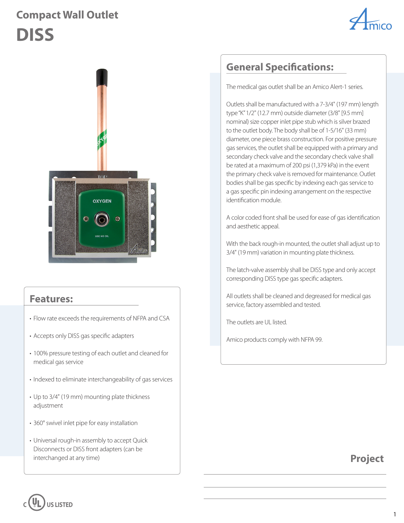## **Compact Wall Outlet DISS**





#### **Features:**

- Flow rate exceeds the requirements of NFPA and CSA
- Accepts only DISS gas specific adapters
- 100% pressure testing of each outlet and cleaned for medical gas service
- Indexed to eliminate interchangeability of gas services
- Up to 3/4" (19 mm) mounting plate thickness adjustment
- 360° swivel inlet pipe for easy installation
- Universal rough-in assembly to accept Quick Disconnects or DISS front adapters (can be interchanged at any time)

### **General Specifications:**

The medical gas outlet shall be an Amico Alert-1 series.

Outlets shall be manufactured with a 7-3/4" (197 mm) length type "K" 1/2" (12.7 mm) outside diameter (3/8" [9.5 mm] nominal) size copper inlet pipe stub which is silver brazed to the outlet body. The body shall be of 1-5/16" (33 mm) diameter, one piece brass construction. For positive pressure gas services, the outlet shall be equipped with a primary and secondary check valve and the secondary check valve shall be rated at a maximum of 200 psi (1,379 kPa) in the event the primary check valve is removed for maintenance. Outlet bodies shall be gas specific by indexing each gas service to a gas specific pin indexing arrangement on the respective identification module.

A color coded front shall be used for ease of gas identification and aesthetic appeal.

With the back rough-in mounted, the outlet shall adjust up to 3/4" (19 mm) variation in mounting plate thickness.

The latch-valve assembly shall be DISS type and only accept corresponding DISS type gas specific adapters.

All outlets shall be cleaned and degreased for medical gas service, factory assembled and tested.

The outlets are UL listed.

Amico products comply with NFPA 99.

**Project**